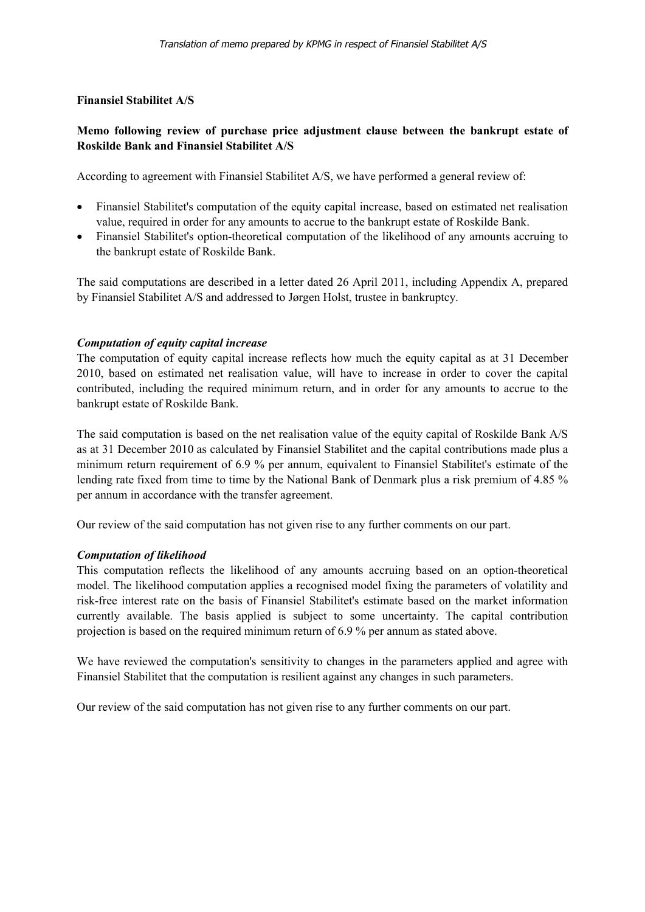## **Finansiel Stabilitet A/S**

# **Memo following review of purchase price adjustment clause between the bankrupt estate of Roskilde Bank and Finansiel Stabilitet A/S**

According to agreement with Finansiel Stabilitet A/S, we have performed a general review of:

- Finansiel Stabilitet's computation of the equity capital increase, based on estimated net realisation value, required in order for any amounts to accrue to the bankrupt estate of Roskilde Bank.
- Finansiel Stabilitet's option-theoretical computation of the likelihood of any amounts accruing to the bankrupt estate of Roskilde Bank.

The said computations are described in a letter dated 26 April 2011, including Appendix A, prepared by Finansiel Stabilitet A/S and addressed to Jørgen Holst, trustee in bankruptcy.

## *Computation of equity capital increase*

The computation of equity capital increase reflects how much the equity capital as at 31 December 2010, based on estimated net realisation value, will have to increase in order to cover the capital contributed, including the required minimum return, and in order for any amounts to accrue to the bankrupt estate of Roskilde Bank.

The said computation is based on the net realisation value of the equity capital of Roskilde Bank A/S as at 31 December 2010 as calculated by Finansiel Stabilitet and the capital contributions made plus a minimum return requirement of 6.9 % per annum, equivalent to Finansiel Stabilitet's estimate of the lending rate fixed from time to time by the National Bank of Denmark plus a risk premium of 4.85 % per annum in accordance with the transfer agreement.

Our review of the said computation has not given rise to any further comments on our part.

### *Computation of likelihood*

This computation reflects the likelihood of any amounts accruing based on an option-theoretical model. The likelihood computation applies a recognised model fixing the parameters of volatility and risk-free interest rate on the basis of Finansiel Stabilitet's estimate based on the market information currently available. The basis applied is subject to some uncertainty. The capital contribution projection is based on the required minimum return of 6.9 % per annum as stated above.

We have reviewed the computation's sensitivity to changes in the parameters applied and agree with Finansiel Stabilitet that the computation is resilient against any changes in such parameters.

Our review of the said computation has not given rise to any further comments on our part.